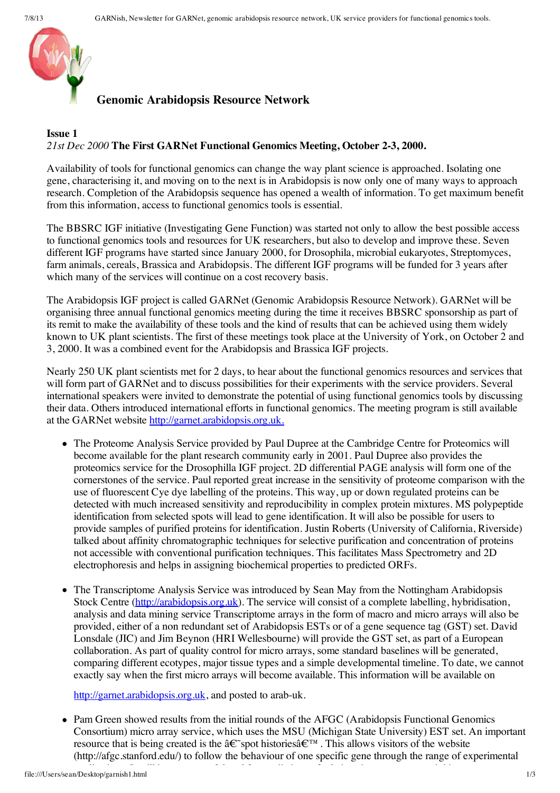

## **Genomic Arabidopsis Resource Network**

## **Issue 1** *21st Dec 2000* **The First GARNet Functional Genomics Meeting, October 2-3, 2000.**

Availability of tools for functional genomics can change the way plant science is approached. Isolating one gene, characterising it, and moving on to the next is in Arabidopsis is now only one of many ways to approach research. Completion of the Arabidopsis sequence has opened a wealth of information. To get maximum benefit from this information, access to functional genomics tools is essential.

The BBSRC IGF initiative (Investigating Gene Function) was started not only to allow the best possible access to functional genomics tools and resources for UK researchers, but also to develop and improve these. Seven different IGF programs have started since January 2000, for Drosophila, microbial eukaryotes, Streptomyces, farm animals, cereals, Brassica and Arabidopsis. The different IGF programs will be funded for 3 years after which many of the services will continue on a cost recovery basis.

The Arabidopsis IGF project is called GARNet (Genomic Arabidopsis Resource Network). GARNet will be organising three annual functional genomics meeting during the time it receives BBSRC sponsorship as part of its remit to make the availability of these tools and the kind of results that can be achieved using them widely known to UK plant scientists. The first of these meetings took place at the University of York, on October 2 and 3, 2000. It was a combined event for the Arabidopsis and Brassica IGF projects.

Nearly 250 UK plant scientists met for 2 days, to hear about the functional genomics resources and services that will form part of GARNet and to discuss possibilities for their experiments with the service providers. Several international speakers were invited to demonstrate the potential of using functional genomics tools by discussing their data. Others introduced international efforts in functional genomics. The meeting program is still available at the GARNet website [http://garnet.arabidopsis.org.uk.](http://garnet.arabidopsis.org.uk/)

- The Proteome Analysis Service provided by Paul Dupree at the Cambridge Centre for Proteomics will become available for the plant research community early in 2001. Paul Dupree also provides the proteomics service for the Drosophilla IGF project. 2D differential PAGE analysis will form one of the cornerstones of the service. Paul reported great increase in the sensitivity of proteome comparison with the use of fluorescent Cye dye labelling of the proteins. This way, up or down regulated proteins can be detected with much increased sensitivity and reproducibility in complex protein mixtures. MS polypeptide identification from selected spots will lead to gene identification. It will also be possible for users to provide samples of purified proteins for identification. Justin Roberts (University of California, Riverside) talked about affinity chromatographic techniques for selective purification and concentration of proteins not accessible with conventional purification techniques. This facilitates Mass Spectrometry and 2D electrophoresis and helps in assigning biochemical properties to predicted ORFs.
- The Transcriptome Analysis Service was introduced by Sean May from the Nottingham Arabidopsis Stock Centre ([http://arabidopsis.org.uk\)](http://arabidopsis.org.uk/). The service will consist of a complete labelling, hybridisation, analysis and data mining service Transcriptome arrays in the form of macro and micro arrays will also be provided, either of a non redundant set of Arabidopsis ESTs or of a gene sequence tag (GST) set. David Lonsdale (JIC) and Jim Beynon (HRI Wellesbourne) will provide the GST set, as part of a European collaboration. As part of quality control for micro arrays, some standard baselines will be generated, comparing different ecotypes, major tissue types and a simple developmental timeline. To date, we cannot exactly say when the first micro arrays will become available. This information will be available on

[http://garnet.arabidopsis.org.uk](http://garnet.arabidopsis.org.uk/), and posted to arab-uk.

• Pam Green showed results from the initial rounds of the AFGC (Arabidopsis Functional Genomics Consortium) micro array service, which uses the MSU (Michigan State University) EST set. An important resource that is being created is the  $\hat{a} \in \tilde{S}$  spot histories $\hat{a} \in \tilde{S}^{\pi}$ . This allows visitors of the website (http://afgc.stanford.edu/) to follow the behaviour of one specific gene through the range of experimental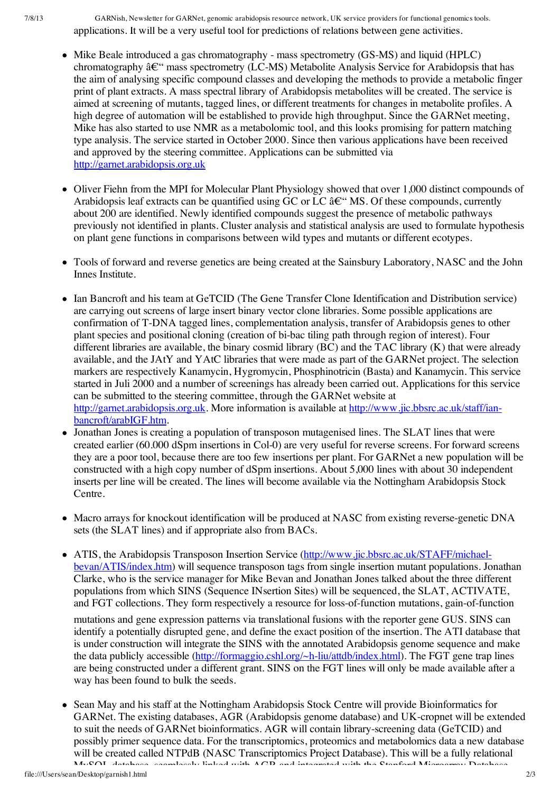7/8/13 GARNish, Newsletter for GARNet, genomic arabidopsis resource network, UK service providers for functional genomics tools. applications. It will be a very useful tool for predictions of relations between gene activities.

- Mike Beale introduced a gas chromatography mass spectrometry (GS-MS) and liquid (HPLC) chromatography  $\hat{a}\in$ " mass spectrometry (LC-MS) Metabolite Analysis Service for Arabidopsis that has the aim of analysing specific compound classes and developing the methods to provide a metabolic finger print of plant extracts. A mass spectral library of Arabidopsis metabolites will be created. The service is aimed at screening of mutants, tagged lines, or different treatments for changes in metabolite profiles. A high degree of automation will be established to provide high throughput. Since the GARNet meeting, Mike has also started to use NMR as a metabolomic tool, and this looks promising for pattern matching type analysis. The service started in October 2000. Since then various applications have been received and approved by the steering committee. Applications can be submitted via [http://garnet.arabidopsis.org.uk](http://garnet.arabidopsis.org.uk/)
- Oliver Fiehn from the MPI for Molecular Plant Physiology showed that over 1,000 distinct compounds of Arabidopsis leaf extracts can be quantified using GC or LC  $\hat{a}\in$ "MS. Of these compounds, currently about 200 are identified. Newly identified compounds suggest the presence of metabolic pathways previously not identified in plants. Cluster analysis and statistical analysis are used to formulate hypothesis on plant gene functions in comparisons between wild types and mutants or different ecotypes.
- Tools of forward and reverse genetics are being created at the Sainsbury Laboratory, NASC and the John Innes Institute.
- Ian Bancroft and his team at GeTCID (The Gene Transfer Clone Identification and Distribution service) are carrying out screens of large insert binary vector clone libraries. Some possible applications are confirmation of T-DNA tagged lines, complementation analysis, transfer of Arabidopsis genes to other plant species and positional cloning (creation of bi-bac tiling path through region of interest). Four different libraries are available, the binary cosmid library (BC) and the TAC library (K) that were already available, and the JAtY and YAtC libraries that were made as part of the GARNet project. The selection markers are respectively Kanamycin, Hygromycin, Phosphinotricin (Basta) and Kanamycin. This service started in Juli 2000 and a number of screenings has already been carried out. Applications for this service can be submitted to the steering committee, through the GARNet website at [http://garnet.arabidopsis.org.uk](http://garnet.arabidopsis.org.uk/). More information is available at [http://www.jic.bbsrc.ac.uk/staff/ian](http://www.jic.bbsrc.ac.uk/staff/ian-bancroft/arabIGF.htm)bancroft/arabIGF.htm.
- Jonathan Jones is creating a population of transposon mutagenised lines. The SLAT lines that were created earlier (60.000 dSpm insertions in Col-0) are very useful for reverse screens. For forward screens they are a poor tool, because there are too few insertions per plant. For GARNet a new population will be constructed with a high copy number of dSpm insertions. About 5,000 lines with about 30 independent inserts per line will be created. The lines will become available via the Nottingham Arabidopsis Stock Centre.
- Macro arrays for knockout identification will be produced at NASC from existing reverse-genetic DNA sets (the SLAT lines) and if appropriate also from BACs.
- ATIS, the Arabidopsis Transposon Insertion Service [\(http://www.jic.bbsrc.ac.uk/STAFF/michael](http://www.jic.bbsrc.ac.uk/STAFF/michael-bevan/ATIS/index.htm)bevan/ATIS/index.htm) will sequence transposon tags from single insertion mutant populations. Jonathan Clarke, who is the service manager for Mike Bevan and Jonathan Jones talked about the three different populations from which SINS (Sequence INsertion Sites) will be sequenced, the SLAT, ACTIVATE, and FGT collections. They form respectively a resource for loss-of-function mutations, gain-of-function

mutations and gene expression patterns via translational fusions with the reporter gene GUS. SINS can identify a potentially disrupted gene, and define the exact position of the insertion. The ATI database that is under construction will integrate the SINS with the annotated Arabidopsis genome sequence and make the data publicly accessible (<http://formaggio.cshl.org/~h-liu/attdb/index.html>). The FGT gene trap lines are being constructed under a different grant. SINS on the FGT lines will only be made available after a way has been found to bulk the seeds.

• Sean May and his staff at the Nottingham Arabidopsis Stock Centre will provide Bioinformatics for GARNet. The existing databases, AGR (Arabidopsis genome database) and UK-cropnet will be extended to suit the needs of GARNet bioinformatics. AGR will contain library-screening data (GeTCID) and possibly primer sequence data. For the transcriptomics, proteomics and metabolomics data a new database will be created called NTPdB (NASC Transcriptomics Project Database). This will be a fully relational MySQL database, seamlessly linked with AGR and integrated with the Stanford Microarray Database